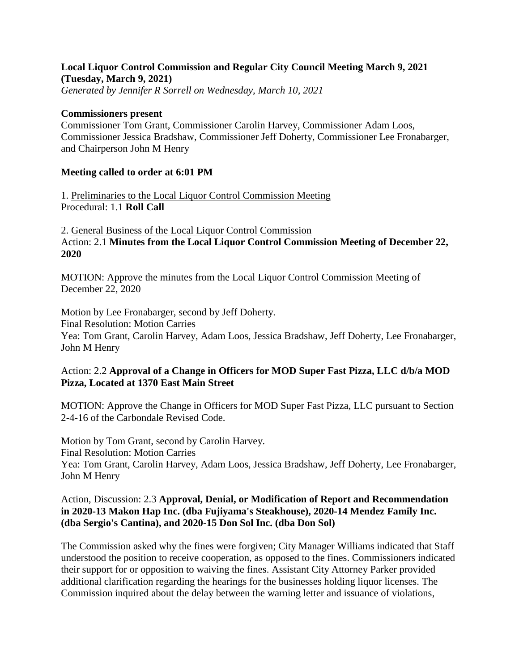# **Local Liquor Control Commission and Regular City Council Meeting March 9, 2021 (Tuesday, March 9, 2021)**

*Generated by Jennifer R Sorrell on Wednesday, March 10, 2021*

#### **Commissioners present**

Commissioner Tom Grant, Commissioner Carolin Harvey, Commissioner Adam Loos, Commissioner Jessica Bradshaw, Commissioner Jeff Doherty, Commissioner Lee Fronabarger, and Chairperson John M Henry

### **Meeting called to order at 6:01 PM**

1. Preliminaries to the Local Liquor Control Commission Meeting Procedural: 1.1 **Roll Call**

2. General Business of the Local Liquor Control Commission Action: 2.1 **Minutes from the Local Liquor Control Commission Meeting of December 22, 2020**

MOTION: Approve the minutes from the Local Liquor Control Commission Meeting of December 22, 2020

Motion by Lee Fronabarger, second by Jeff Doherty. Final Resolution: Motion Carries Yea: Tom Grant, Carolin Harvey, Adam Loos, Jessica Bradshaw, Jeff Doherty, Lee Fronabarger, John M Henry

## Action: 2.2 **Approval of a Change in Officers for MOD Super Fast Pizza, LLC d/b/a MOD Pizza, Located at 1370 East Main Street**

MOTION: Approve the Change in Officers for MOD Super Fast Pizza, LLC pursuant to Section 2-4-16 of the Carbondale Revised Code.

Motion by Tom Grant, second by Carolin Harvey. Final Resolution: Motion Carries Yea: Tom Grant, Carolin Harvey, Adam Loos, Jessica Bradshaw, Jeff Doherty, Lee Fronabarger, John M Henry

### Action, Discussion: 2.3 **Approval, Denial, or Modification of Report and Recommendation in 2020-13 Makon Hap Inc. (dba Fujiyama's Steakhouse), 2020-14 Mendez Family Inc. (dba Sergio's Cantina), and 2020-15 Don Sol Inc. (dba Don Sol)**

The Commission asked why the fines were forgiven; City Manager Williams indicated that Staff understood the position to receive cooperation, as opposed to the fines. Commissioners indicated their support for or opposition to waiving the fines. Assistant City Attorney Parker provided additional clarification regarding the hearings for the businesses holding liquor licenses. The Commission inquired about the delay between the warning letter and issuance of violations,